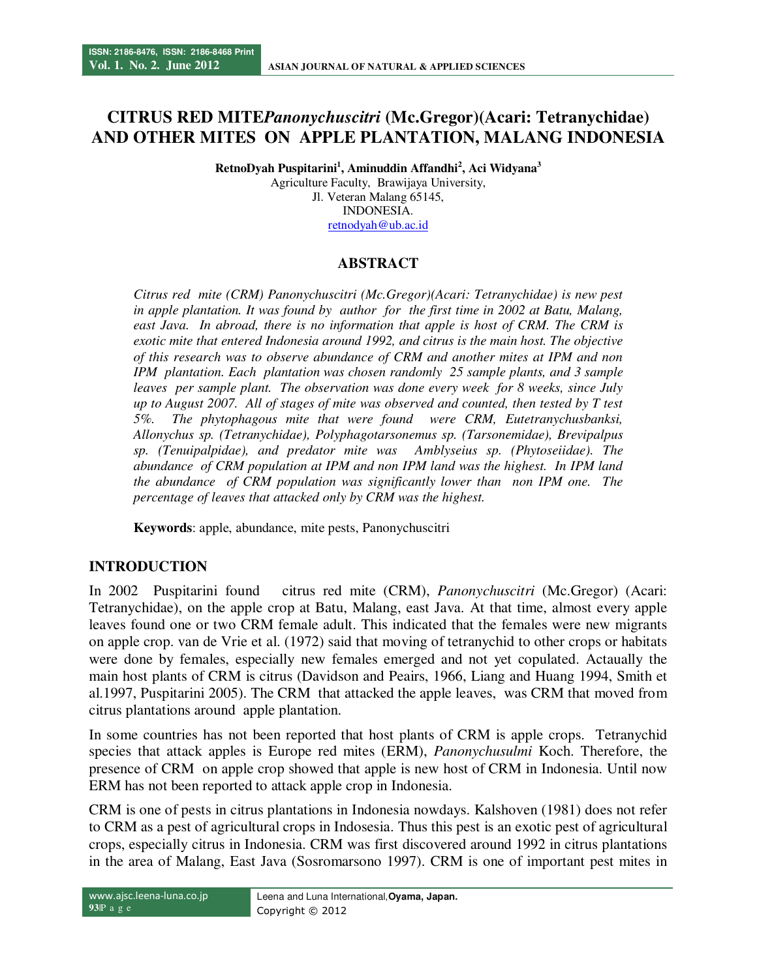# **CITRUS RED MITE***Panonychuscitri* **(Mc.Gregor)(Acari: Tetranychidae) AND OTHER MITES ON APPLE PLANTATION, MALANG INDONESIA**

**RetnoDyah Puspitarini<sup>1</sup> , Aminuddin Affandhi<sup>2</sup> , Aci Widyana<sup>3</sup>** Agriculture Faculty, Brawijaya University, Jl. Veteran Malang 65145, INDONESIA. retnodyah@ub.ac.id

## **ABSTRACT**

*Citrus red mite (CRM) Panonychuscitri (Mc.Gregor)(Acari: Tetranychidae) is new pest in apple plantation. It was found by author for the first time in 2002 at Batu, Malang, east Java. In abroad, there is no information that apple is host of CRM. The CRM is exotic mite that entered Indonesia around 1992, and citrus is the main host. The objective of this research was to observe abundance of CRM and another mites at IPM and non IPM plantation. Each plantation was chosen randomly 25 sample plants, and 3 sample leaves per sample plant. The observation was done every week for 8 weeks, since July up to August 2007. All of stages of mite was observed and counted, then tested by T test 5%. The phytophagous mite that were found were CRM, Eutetranychusbanksi, Allonychus sp. (Tetranychidae), Polyphagotarsonemus sp. (Tarsonemidae), Brevipalpus sp. (Tenuipalpidae), and predator mite was Amblyseius sp. (Phytoseiidae). The abundance of CRM population at IPM and non IPM land was the highest. In IPM land the abundance of CRM population was significantly lower than non IPM one. The percentage of leaves that attacked only by CRM was the highest.* 

**Keywords**: apple, abundance, mite pests, Panonychuscitri

## **INTRODUCTION**

In 2002 Puspitarini found citrus red mite (CRM), *Panonychuscitri* (Mc.Gregor) (Acari: Tetranychidae), on the apple crop at Batu, Malang, east Java. At that time, almost every apple leaves found one or two CRM female adult. This indicated that the females were new migrants on apple crop. van de Vrie et al. (1972) said that moving of tetranychid to other crops or habitats were done by females, especially new females emerged and not yet copulated. Actaually the main host plants of CRM is citrus (Davidson and Peairs, 1966, Liang and Huang 1994, Smith et al.1997, Puspitarini 2005). The CRM that attacked the apple leaves, was CRM that moved from citrus plantations around apple plantation.

In some countries has not been reported that host plants of CRM is apple crops. Tetranychid species that attack apples is Europe red mites (ERM), *Panonychusulmi* Koch. Therefore, the presence of CRM on apple crop showed that apple is new host of CRM in Indonesia. Until now ERM has not been reported to attack apple crop in Indonesia.

CRM is one of pests in citrus plantations in Indonesia nowdays. Kalshoven (1981) does not refer to CRM as a pest of agricultural crops in Indosesia. Thus this pest is an exotic pest of agricultural crops, especially citrus in Indonesia. CRM was first discovered around 1992 in citrus plantations in the area of Malang, East Java (Sosromarsono 1997). CRM is one of important pest mites in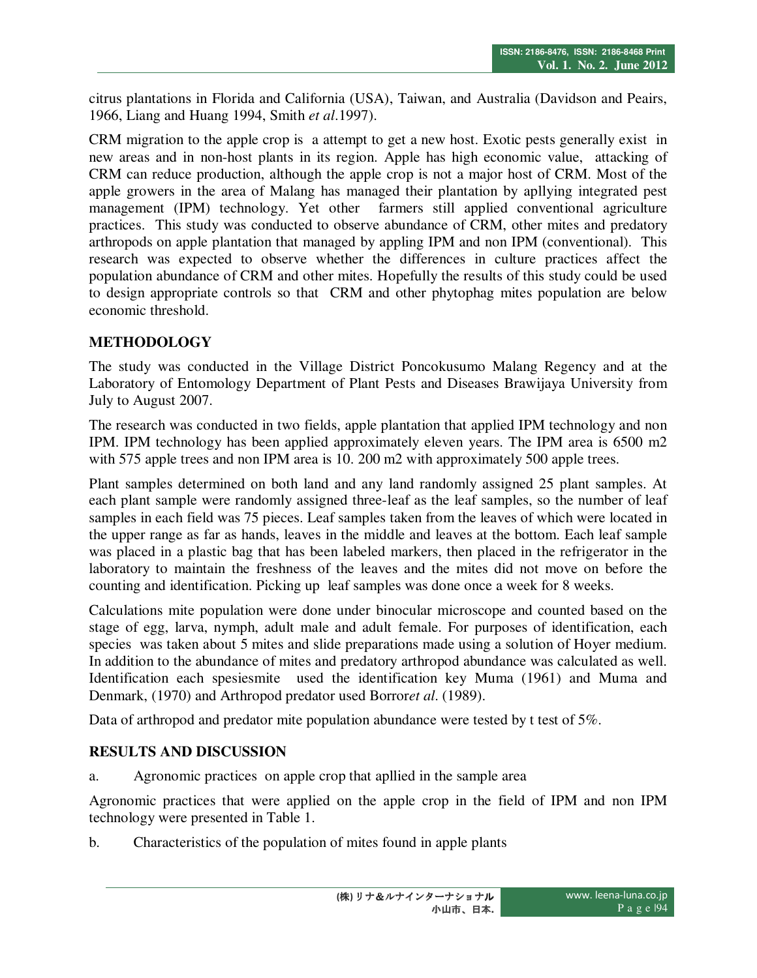citrus plantations in Florida and California (USA), Taiwan, and Australia (Davidson and Peairs, 1966, Liang and Huang 1994, Smith *et al*.1997).

CRM migration to the apple crop is a attempt to get a new host. Exotic pests generally exist in new areas and in non-host plants in its region. Apple has high economic value, attacking of CRM can reduce production, although the apple crop is not a major host of CRM. Most of the apple growers in the area of Malang has managed their plantation by apllying integrated pest management (IPM) technology. Yet other farmers still applied conventional agriculture practices. This study was conducted to observe abundance of CRM, other mites and predatory arthropods on apple plantation that managed by appling IPM and non IPM (conventional). This research was expected to observe whether the differences in culture practices affect the population abundance of CRM and other mites. Hopefully the results of this study could be used to design appropriate controls so that CRM and other phytophag mites population are below economic threshold.

# **METHODOLOGY**

The study was conducted in the Village District Poncokusumo Malang Regency and at the Laboratory of Entomology Department of Plant Pests and Diseases Brawijaya University from July to August 2007.

The research was conducted in two fields, apple plantation that applied IPM technology and non IPM. IPM technology has been applied approximately eleven years. The IPM area is 6500 m2 with 575 apple trees and non IPM area is 10. 200 m2 with approximately 500 apple trees.

Plant samples determined on both land and any land randomly assigned 25 plant samples. At each plant sample were randomly assigned three-leaf as the leaf samples, so the number of leaf samples in each field was 75 pieces. Leaf samples taken from the leaves of which were located in the upper range as far as hands, leaves in the middle and leaves at the bottom. Each leaf sample was placed in a plastic bag that has been labeled markers, then placed in the refrigerator in the laboratory to maintain the freshness of the leaves and the mites did not move on before the counting and identification. Picking up leaf samples was done once a week for 8 weeks.

Calculations mite population were done under binocular microscope and counted based on the stage of egg, larva, nymph, adult male and adult female. For purposes of identification, each species was taken about 5 mites and slide preparations made using a solution of Hoyer medium. In addition to the abundance of mites and predatory arthropod abundance was calculated as well. Identification each spesiesmite used the identification key Muma (1961) and Muma and Denmark, (1970) and Arthropod predator used Borror*et al*. (1989).

Data of arthropod and predator mite population abundance were tested by t test of 5%.

## **RESULTS AND DISCUSSION**

a. Agronomic practices on apple crop that apllied in the sample area

Agronomic practices that were applied on the apple crop in the field of IPM and non IPM technology were presented in Table 1.

b. Characteristics of the population of mites found in apple plants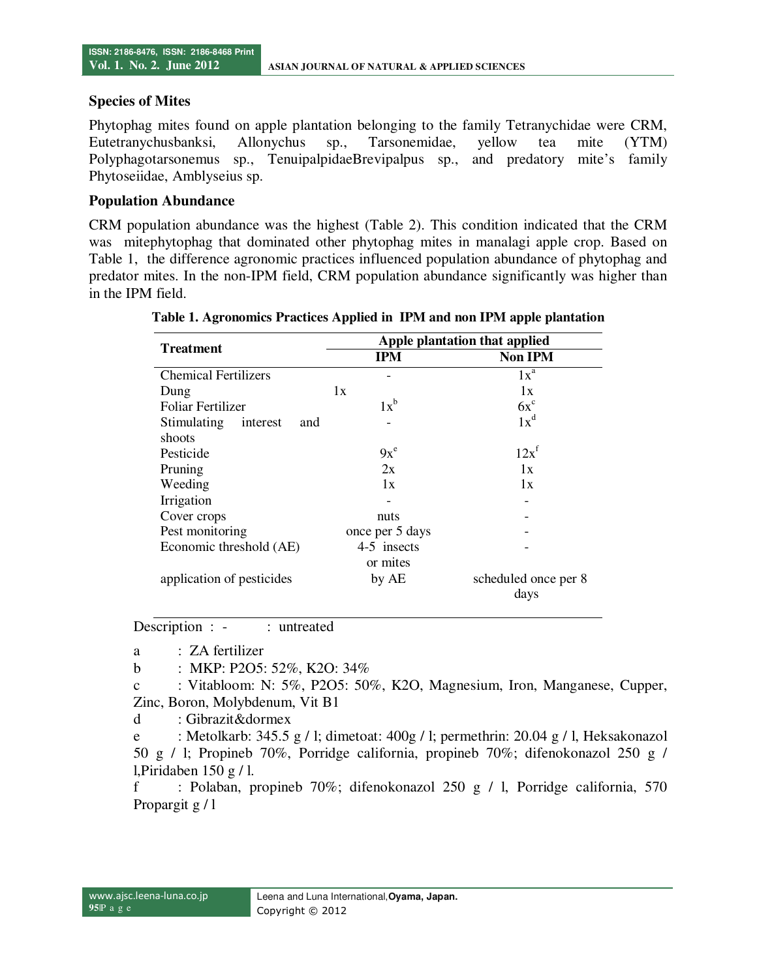#### **Species of Mites**

Phytophag mites found on apple plantation belonging to the family Tetranychidae were CRM, Eutetranychusbanksi, Allonychus sp., Tarsonemidae, yellow tea mite (YTM) Polyphagotarsonemus sp., TenuipalpidaeBrevipalpus sp., and predatory mite's family Phytoseiidae, Amblyseius sp.

#### **Population Abundance**

CRM population abundance was the highest (Table 2). This condition indicated that the CRM was mitephytophag that dominated other phytophag mites in manalagi apple crop. Based on Table 1, the difference agronomic practices influenced population abundance of phytophag and predator mites. In the non-IPM field, CRM population abundance significantly was higher than in the IPM field.

| Apple plantation that applied |                      |  |
|-------------------------------|----------------------|--|
| <b>IPM</b>                    | <b>Non IPM</b>       |  |
|                               | $1x^a$               |  |
| 1x                            | 1x                   |  |
|                               | $6x^c$               |  |
|                               | $1x^d$               |  |
|                               |                      |  |
| $9x^e$                        | $12x^f$              |  |
| 2x                            | 1x                   |  |
| 1x                            | 1x                   |  |
|                               |                      |  |
| nuts                          |                      |  |
| once per 5 days               |                      |  |
| 4-5 insects                   |                      |  |
| or mites                      |                      |  |
| by AE                         | scheduled once per 8 |  |
|                               | days                 |  |
|                               | $1x^b$               |  |

**Table 1. Agronomics Practices Applied in IPM and non IPM apple plantation** 

Description : - : untreated

a : ZA fertilizer

b : MKP: P2O5: 52%, K2O: 34%

c : Vitabloom: N: 5%, P2O5: 50%, K2O, Magnesium, Iron, Manganese, Cupper, Zinc, Boron, Molybdenum, Vit B1

d : Gibrazit&dormex

e : Metolkarb:  $345.5 \text{ g}$  / l; dimetoat:  $400 \text{ g}$  / l; permethrin:  $20.04 \text{ g}$  / l, Heksakonazol 50 g / l; Propineb 70%, Porridge california, propineb 70%; difenokonazol 250 g / l,Piridaben 150 g / l.

f : Polaban, propineb 70%; difenokonazol 250 g / l, Porridge california, 570 Propargit g / l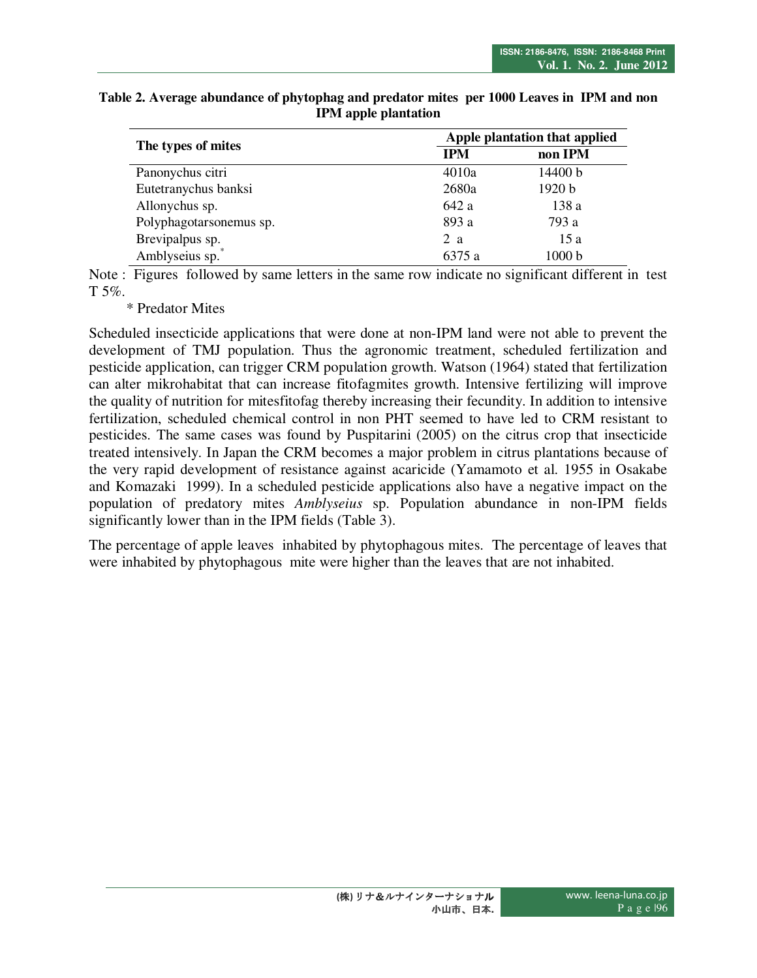|                         | Apple plantation that applied |         |
|-------------------------|-------------------------------|---------|
| The types of mites      | <b>IPM</b>                    | non IPM |
| Panonychus citri        | 4010a                         | 14400 b |
| Eutetranychus banksi    | 2680a                         | 1920 b  |
| Allonychus sp.          | 642 a                         | 138 a   |
| Polyphagotarsonemus sp. | 893 a                         | 793 a   |
| Brevipalpus sp.         | 2 a                           | 15a     |
| Amblyseius sp.          | 6375 a                        | 1000 b  |

#### **Table 2. Average abundance of phytophag and predator mites per 1000 Leaves in IPM and non IPM apple plantation**

Note : Figures followed by same letters in the same row indicate no significant different in test T 5%.

\* Predator Mites

Scheduled insecticide applications that were done at non-IPM land were not able to prevent the development of TMJ population. Thus the agronomic treatment, scheduled fertilization and pesticide application, can trigger CRM population growth. Watson (1964) stated that fertilization can alter mikrohabitat that can increase fitofagmites growth. Intensive fertilizing will improve the quality of nutrition for mitesfitofag thereby increasing their fecundity. In addition to intensive fertilization, scheduled chemical control in non PHT seemed to have led to CRM resistant to pesticides. The same cases was found by Puspitarini (2005) on the citrus crop that insecticide treated intensively. In Japan the CRM becomes a major problem in citrus plantations because of the very rapid development of resistance against acaricide (Yamamoto et al. 1955 in Osakabe and Komazaki 1999). In a scheduled pesticide applications also have a negative impact on the population of predatory mites *Amblyseius* sp. Population abundance in non-IPM fields significantly lower than in the IPM fields (Table 3).

The percentage of apple leaves inhabited by phytophagous mites. The percentage of leaves that were inhabited by phytophagous mite were higher than the leaves that are not inhabited.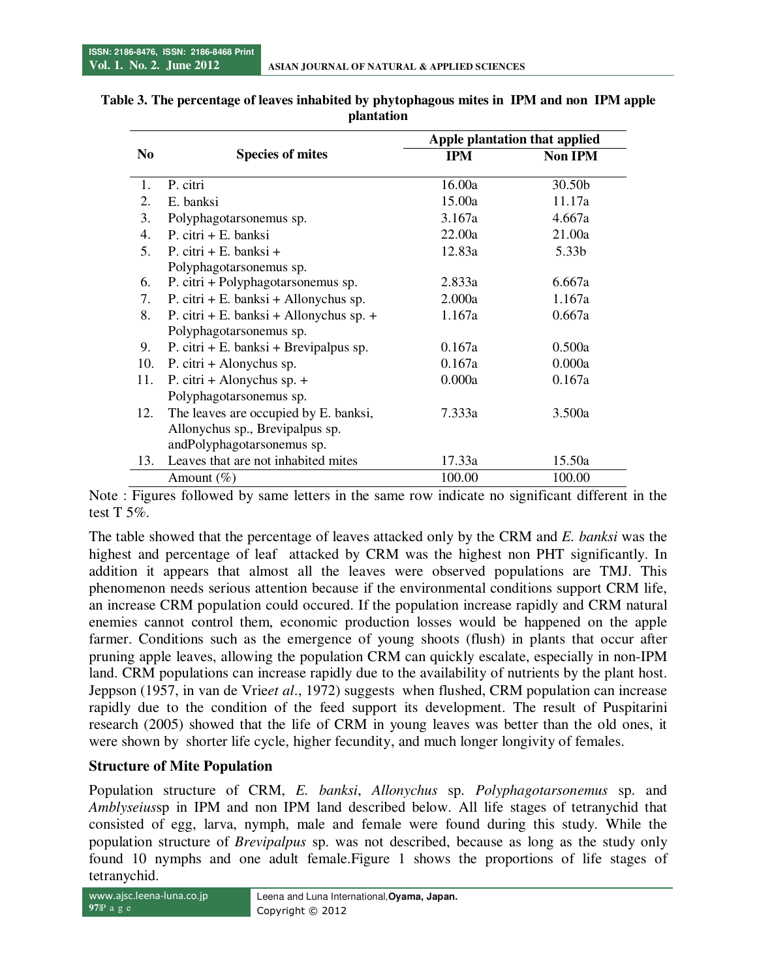|                |                                         |            | Apple plantation that applied |  |
|----------------|-----------------------------------------|------------|-------------------------------|--|
| N <sub>0</sub> | <b>Species of mites</b>                 | <b>IPM</b> | <b>Non IPM</b>                |  |
| 1.             | P. citri                                | 16.00a     | 30.50b                        |  |
| 2.             | E. banksi                               | 15.00a     | 11.17a                        |  |
| 3.             | Polyphagotarsonemus sp.                 | 3.167a     | 4.667a                        |  |
| 4.             | $P.$ citri + E. banksi                  | 22.00a     | 21.00a                        |  |
| 5.             | P. citri + E. banksi +                  | 12.83a     | 5.33b                         |  |
|                | Polyphagotarsonemus sp.                 |            |                               |  |
| 6.             | P. citri + Polyphagotarsonemus sp.      | 2.833a     | 6.667a                        |  |
| 7.             | P. citri + E. banksi + Allonychus sp.   | 2.000a     | 1.167a                        |  |
| 8.             | P. citri + E. banksi + Allonychus sp. + | 1.167a     | 0.667a                        |  |
|                | Polyphagotarsonemus sp.                 |            |                               |  |
| 9.             | P. citri + E. banksi + Brevipalpus sp.  | 0.167a     | 0.500a                        |  |
| 10.            | P. citri + Alonychus sp.                | 0.167a     | 0.000a                        |  |
| 11.            | P. citri + Alonychus sp. $+$            | 0.000a     | 0.167a                        |  |
|                | Polyphagotarsonemus sp.                 |            |                               |  |
| 12.            | The leaves are occupied by E. banksi,   | 7.333a     | 3.500a                        |  |
|                | Allonychus sp., Brevipalpus sp.         |            |                               |  |
|                | andPolyphagotarsonemus sp.              |            |                               |  |
| 13.            | Leaves that are not inhabited mites     | 17.33a     | 15.50a                        |  |
|                | Amount $(\%)$                           | 100.00     | 100.00                        |  |

#### **Table 3. The percentage of leaves inhabited by phytophagous mites in IPM and non IPM apple plantation**

Note : Figures followed by same letters in the same row indicate no significant different in the test T 5%.

The table showed that the percentage of leaves attacked only by the CRM and *E. banksi* was the highest and percentage of leaf attacked by CRM was the highest non PHT significantly. In addition it appears that almost all the leaves were observed populations are TMJ. This phenomenon needs serious attention because if the environmental conditions support CRM life, an increase CRM population could occured. If the population increase rapidly and CRM natural enemies cannot control them, economic production losses would be happened on the apple farmer. Conditions such as the emergence of young shoots (flush) in plants that occur after pruning apple leaves, allowing the population CRM can quickly escalate, especially in non-IPM land. CRM populations can increase rapidly due to the availability of nutrients by the plant host. Jeppson (1957, in van de Vrie*et al*., 1972) suggests when flushed, CRM population can increase rapidly due to the condition of the feed support its development. The result of Puspitarini research (2005) showed that the life of CRM in young leaves was better than the old ones, it were shown by shorter life cycle, higher fecundity, and much longer longivity of females.

## **Structure of Mite Population**

Population structure of CRM, *E. banksi*, *Allonychus* sp. *Polyphagotarsonemus* sp. and *Amblyseius*sp in IPM and non IPM land described below. All life stages of tetranychid that consisted of egg, larva, nymph, male and female were found during this study. While the population structure of *Brevipalpus* sp. was not described, because as long as the study only found 10 nymphs and one adult female.Figure 1 shows the proportions of life stages of tetranychid.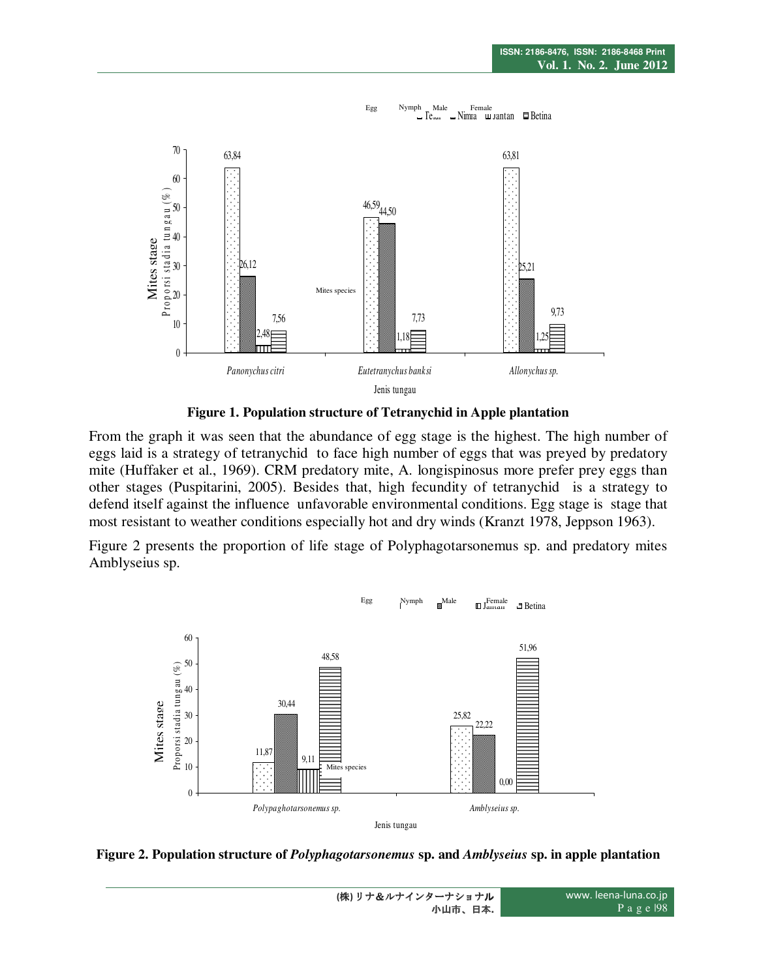



From the graph it was seen that the abundance of egg stage is the highest. The high number of eggs laid is a strategy of tetranychid to face high number of eggs that was preyed by predatory mite (Huffaker et al., 1969). CRM predatory mite, A. longispinosus more prefer prey eggs than other stages (Puspitarini, 2005). Besides that, high fecundity of tetranychid is a strategy to defend itself against the influence unfavorable environmental conditions. Egg stage is stage that most resistant to weather conditions especially hot and dry winds (Kranzt 1978, Jeppson 1963).

Figure 2 presents the proportion of life stage of Polyphagotarsonemus sp. and predatory mites Amblyseius sp.



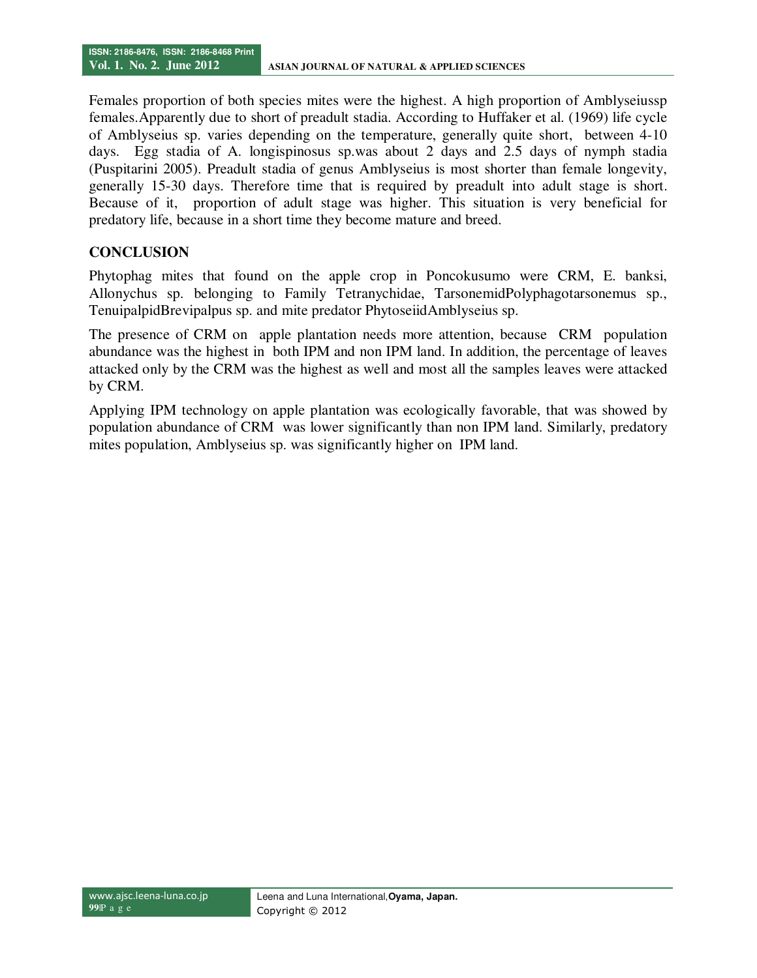Females proportion of both species mites were the highest. A high proportion of Amblyseiussp females.Apparently due to short of preadult stadia. According to Huffaker et al. (1969) life cycle of Amblyseius sp. varies depending on the temperature, generally quite short, between 4-10 days. Egg stadia of A. longispinosus sp.was about 2 days and 2.5 days of nymph stadia (Puspitarini 2005). Preadult stadia of genus Amblyseius is most shorter than female longevity, generally 15-30 days. Therefore time that is required by preadult into adult stage is short. Because of it, proportion of adult stage was higher. This situation is very beneficial for predatory life, because in a short time they become mature and breed.

### **CONCLUSION**

Phytophag mites that found on the apple crop in Poncokusumo were CRM, E. banksi, Allonychus sp. belonging to Family Tetranychidae, TarsonemidPolyphagotarsonemus sp., TenuipalpidBrevipalpus sp. and mite predator PhytoseiidAmblyseius sp.

The presence of CRM on apple plantation needs more attention, because CRM population abundance was the highest in both IPM and non IPM land. In addition, the percentage of leaves attacked only by the CRM was the highest as well and most all the samples leaves were attacked by CRM.

Applying IPM technology on apple plantation was ecologically favorable, that was showed by population abundance of CRM was lower significantly than non IPM land. Similarly, predatory mites population, Amblyseius sp. was significantly higher on IPM land.